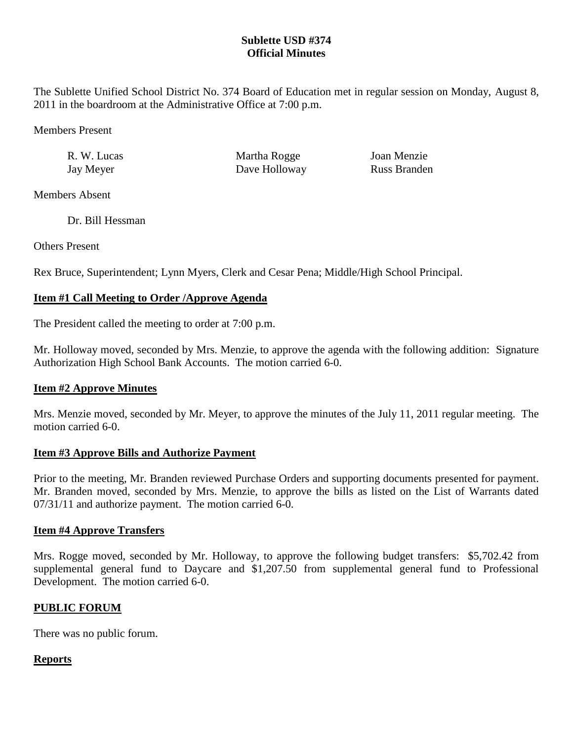## **Sublette USD #374 Official Minutes**

The Sublette Unified School District No. 374 Board of Education met in regular session on Monday, August 8, 2011 in the boardroom at the Administrative Office at 7:00 p.m.

Members Present

| R. W. Lucas | Martha Rogge  | Joan Menzie         |
|-------------|---------------|---------------------|
| Jay Meyer   | Dave Holloway | <b>Russ Branden</b> |

Members Absent

Dr. Bill Hessman

Others Present

Rex Bruce, Superintendent; Lynn Myers, Clerk and Cesar Pena; Middle/High School Principal.

## **Item #1 Call Meeting to Order /Approve Agenda**

The President called the meeting to order at 7:00 p.m.

Mr. Holloway moved, seconded by Mrs. Menzie, to approve the agenda with the following addition: Signature Authorization High School Bank Accounts. The motion carried 6-0.

## **Item #2 Approve Minutes**

Mrs. Menzie moved, seconded by Mr. Meyer, to approve the minutes of the July 11, 2011 regular meeting. The motion carried 6-0.

## **Item #3 Approve Bills and Authorize Payment**

Prior to the meeting, Mr. Branden reviewed Purchase Orders and supporting documents presented for payment. Mr. Branden moved, seconded by Mrs. Menzie, to approve the bills as listed on the List of Warrants dated 07/31/11 and authorize payment. The motion carried 6-0.

## **Item #4 Approve Transfers**

Mrs. Rogge moved, seconded by Mr. Holloway, to approve the following budget transfers: \$5,702.42 from supplemental general fund to Daycare and \$1,207.50 from supplemental general fund to Professional Development. The motion carried 6-0.

# **PUBLIC FORUM**

There was no public forum.

## **Reports**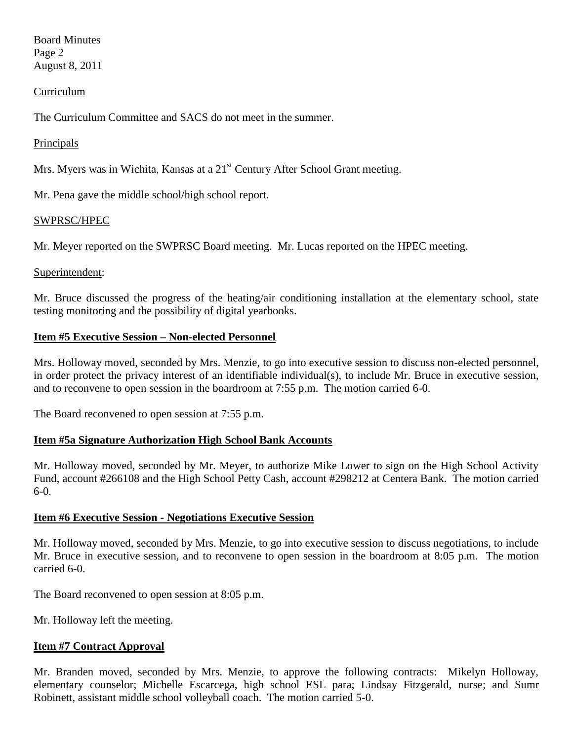Board Minutes Page 2 August 8, 2011

### Curriculum

The Curriculum Committee and SACS do not meet in the summer.

### **Principals**

Mrs. Myers was in Wichita, Kansas at a  $21<sup>st</sup>$  Century After School Grant meeting.

Mr. Pena gave the middle school/high school report.

#### SWPRSC/HPEC

Mr. Meyer reported on the SWPRSC Board meeting. Mr. Lucas reported on the HPEC meeting.

#### Superintendent:

Mr. Bruce discussed the progress of the heating/air conditioning installation at the elementary school, state testing monitoring and the possibility of digital yearbooks.

### **Item #5 Executive Session – Non-elected Personnel**

Mrs. Holloway moved, seconded by Mrs. Menzie, to go into executive session to discuss non-elected personnel, in order protect the privacy interest of an identifiable individual(s), to include Mr. Bruce in executive session, and to reconvene to open session in the boardroom at 7:55 p.m. The motion carried 6-0.

The Board reconvened to open session at 7:55 p.m.

### **Item #5a Signature Authorization High School Bank Accounts**

Mr. Holloway moved, seconded by Mr. Meyer, to authorize Mike Lower to sign on the High School Activity Fund, account #266108 and the High School Petty Cash, account #298212 at Centera Bank. The motion carried 6-0.

### **Item #6 Executive Session - Negotiations Executive Session**

Mr. Holloway moved, seconded by Mrs. Menzie, to go into executive session to discuss negotiations, to include Mr. Bruce in executive session, and to reconvene to open session in the boardroom at 8:05 p.m. The motion carried 6-0.

The Board reconvened to open session at 8:05 p.m.

Mr. Holloway left the meeting.

### **Item #7 Contract Approval**

Mr. Branden moved, seconded by Mrs. Menzie, to approve the following contracts: Mikelyn Holloway, elementary counselor; Michelle Escarcega, high school ESL para; Lindsay Fitzgerald, nurse; and Sumr Robinett, assistant middle school volleyball coach. The motion carried 5-0.